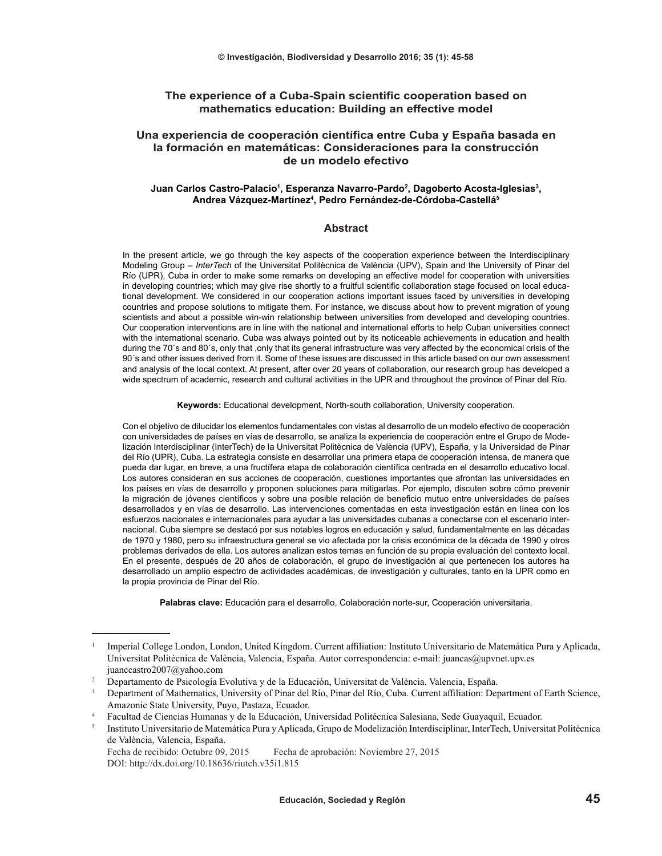### **The experience of a Cuba-Spain scientific cooperation based on mathematics education: Building an effective model**

## **Una experiencia de cooperación científica entre Cuba y España basada en la formación en matemáticas: Consideraciones para la construcción de un modelo efectivo**

#### **Juan Carlos Castro-Palacio<sup>1</sup> , Esperanza Navarro-Pardo<sup>2</sup> , Dagoberto Acosta-Iglesias<sup>3</sup> , Andrea Vázquez-Martínez<sup>4</sup> , Pedro Fernández-de-Córdoba-Castellá<sup>5</sup>**

#### **Abstract**

In the present article, we go through the key aspects of the cooperation experience between the Interdisciplinary Modeling Group – *InterTech* of the Universitat Politècnica de València (UPV), Spain and the University of Pinar del Río (UPR), Cuba in order to make some remarks on developing an effective model for cooperation with universities in developing countries; which may give rise shortly to a fruitful scientific collaboration stage focused on local educational development. We considered in our cooperation actions important issues faced by universities in developing countries and propose solutions to mitigate them. For instance, we discuss about how to prevent migration of young scientists and about a possible win-win relationship between universities from developed and developing countries. Our cooperation interventions are in line with the national and international efforts to help Cuban universities connect with the international scenario. Cuba was always pointed out by its noticeable achievements in education and health during the 70´s and 80´s, only that ,only that its general infrastructure was very affected by the economical crisis of the 90´s and other issues derived from it. Some of these issues are discussed in this article based on our own assessment and analysis of the local context. At present, after over 20 years of collaboration, our research group has developed a wide spectrum of academic, research and cultural activities in the UPR and throughout the province of Pinar del Río.

**Keywords:** Educational development, North-south collaboration, University cooperation.

Con el objetivo de dilucidar los elementos fundamentales con vistas al desarrollo de un modelo efectivo de cooperación con universidades de países en vías de desarrollo, se analiza la experiencia de cooperación entre el Grupo de Modelización Interdisciplinar (InterTech) de la Universitat Politècnica de València (UPV), España, y la Universidad de Pinar del Río (UPR), Cuba. La estrategia consiste en desarrollar una primera etapa de cooperación intensa, de manera que pueda dar lugar, en breve, a una fructífera etapa de colaboración científica centrada en el desarrollo educativo local. Los autores consideran en sus acciones de cooperación, cuestiones importantes que afrontan las universidades en los países en vías de desarrollo y proponen soluciones para mitigarlas. Por ejemplo, discuten sobre cómo prevenir la migración de jóvenes científicos y sobre una posible relación de beneficio mutuo entre universidades de países desarrollados y en vías de desarrollo. Las intervenciones comentadas en esta investigación están en línea con los esfuerzos nacionales e internacionales para ayudar a las universidades cubanas a conectarse con el escenario internacional. Cuba siempre se destacó por sus notables logros en educación y salud, fundamentalmente en las décadas de 1970 y 1980, pero su infraestructura general se vio afectada por la crisis económica de la década de 1990 y otros problemas derivados de ella. Los autores analizan estos temas en función de su propia evaluación del contexto local. En el presente, después de 20 años de colaboración, el grupo de investigación al que pertenecen los autores ha desarrollado un amplio espectro de actividades académicas, de investigación y culturales, tanto en la UPR como en la propia provincia de Pinar del Río.

**Palabras clave:** Educación para el desarrollo, Colaboración norte-sur, Cooperación universitaria.

<sup>1</sup>Imperial College London, London, United Kingdom. Current affiliation: Instituto Universitario de Matemática Pura y Aplicada, Universitat Politècnica de València, Valencia, España. Autor correspondencia: e-mail: juancas@upvnet.upv.es juanccastro2007@yahoo.com

<sup>2</sup> Departamento de Psicología Evolutiva y de la Educación, Universitat de València. Valencia, España.

<sup>3</sup>Department of Mathematics, University of Pinar del Río, Pinar del Río, Cuba. Current affiliation: Department of Earth Science, Amazonic State University, Puyo, Pastaza, Ecuador.

<sup>4</sup> Facultad de Ciencias Humanas y de la Educación, Universidad Politécnica Salesiana, Sede Guayaquil, Ecuador.

<sup>5</sup>Instituto Universitario de Matemática Pura y Aplicada, Grupo de Modelización Interdisciplinar, InterTech, Universitat Politècnica de València, Valencia, España.

Fecha de recibido: Octubre 09, 2015 Fecha de aprobación: Noviembre 27, 2015 DOI: http://dx.doi.org/10.18636/riutch.v35i1.815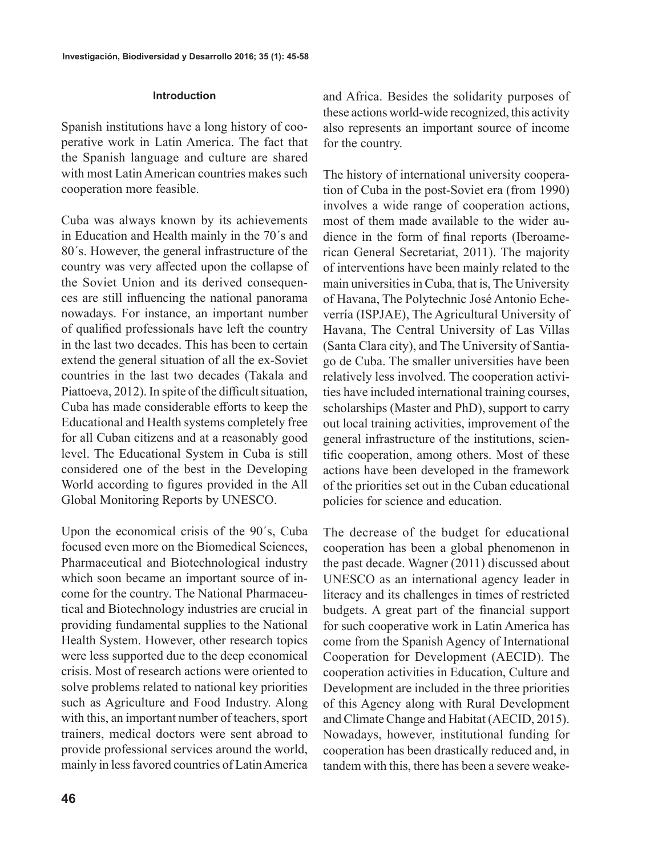## **Introduction**

Spanish institutions have a long history of cooperative work in Latin America. The fact that the Spanish language and culture are shared with most Latin American countries makes such cooperation more feasible.

Cuba was always known by its achievements in Education and Health mainly in the 70´s and 80´s. However, the general infrastructure of the country was very affected upon the collapse of the Soviet Union and its derived consequences are still influencing the national panorama nowadays. For instance, an important number of qualified professionals have left the country in the last two decades. This has been to certain extend the general situation of all the ex-Soviet countries in the last two decades (Takala and Piattoeva, 2012). In spite of the difficult situation, Cuba has made considerable efforts to keep the Educational and Health systems completely free for all Cuban citizens and at a reasonably good level. The Educational System in Cuba is still considered one of the best in the Developing World according to figures provided in the All Global Monitoring Reports by UNESCO.

Upon the economical crisis of the 90´s, Cuba focused even more on the Biomedical Sciences, Pharmaceutical and Biotechnological industry which soon became an important source of income for the country. The National Pharmaceutical and Biotechnology industries are crucial in providing fundamental supplies to the National Health System. However, other research topics were less supported due to the deep economical crisis. Most of research actions were oriented to solve problems related to national key priorities such as Agriculture and Food Industry. Along with this, an important number of teachers, sport trainers, medical doctors were sent abroad to provide professional services around the world, mainly in less favored countries of Latin America and Africa. Besides the solidarity purposes of these actions world-wide recognized, this activity also represents an important source of income for the country.

The history of international university cooperation of Cuba in the post-Soviet era (from 1990) involves a wide range of cooperation actions, most of them made available to the wider audience in the form of final reports (Iberoamerican General Secretariat, 2011). The majority of interventions have been mainly related to the main universities in Cuba, that is, The University of Havana, The Polytechnic José Antonio Echeverría (ISPJAE), The Agricultural University of Havana, The Central University of Las Villas (Santa Clara city), and The University of Santiago de Cuba. The smaller universities have been relatively less involved. The cooperation activities have included international training courses, scholarships (Master and PhD), support to carry out local training activities, improvement of the general infrastructure of the institutions, scientific cooperation, among others. Most of these actions have been developed in the framework of the priorities set out in the Cuban educational policies for science and education.

The decrease of the budget for educational cooperation has been a global phenomenon in the past decade. Wagner (2011) discussed about UNESCO as an international agency leader in literacy and its challenges in times of restricted budgets. A great part of the financial support for such cooperative work in Latin America has come from the Spanish Agency of International Cooperation for Development (AECID). The cooperation activities in Education, Culture and Development are included in the three priorities of this Agency along with Rural Development and Climate Change and Habitat (AECID, 2015). Nowadays, however, institutional funding for cooperation has been drastically reduced and, in tandem with this, there has been a severe weake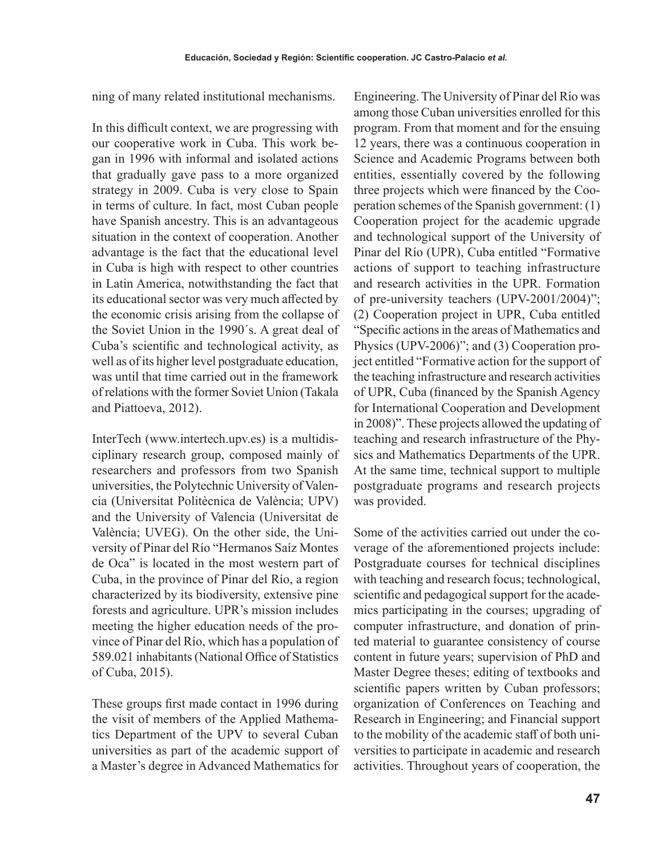ning of many related institutional mechanisms.

In this difficult context, we are progressing with our cooperative work in Cuba. This work began in 1996 with informal and isolated actions that gradually gave pass to a more organized strategy in 2009. Cuba is very close to Spain in terms of culture. In fact, most Cuban people have Spanish ancestry. This is an advantageous situation in the context of cooperation. Another advantage is the fact that the educational level in Cuba is high with respect to other countries in Latin America, notwithstanding the fact that its educational sector was very much affected by the economic crisis arising from the collapse of the Soviet Union in the 1990´s. A great deal of Cuba's scientific and technological activity, as well as of its higher level postgraduate education, was until that time carried out in the framework of relations with the former Soviet Union (Takala and Piattoeva, 2012).

InterTech (www.intertech.upv.es) is a multidisciplinary research group, composed mainly of researchers and professors from two Spanish universities, the Polytechnic University of Valencia (Universitat Politècnica de València; UPV) and the University of Valencia (Universitat de València; UVEG). On the other side, the University of Pinar del Río "Hermanos Saíz Montes de Oca" is located in the most western part of Cuba, in the province of Pinar del Río, a region characterized by its biodiversity, extensive pine forests and agriculture. UPR's mission includes meeting the higher education needs of the province of Pinar del Río, which has a population of 589.021 inhabitants (National Office of Statistics of Cuba, 2015).

These groups first made contact in 1996 during the visit of members of the Applied Mathematics Department of the UPV to several Cuban universities as part of the academic support of a Master's degree in Advanced Mathematics for

Engineering. The University of Pinar del Río was among those Cuban universities enrolled for this program. From that moment and for the ensuing 12 years, there was a continuous cooperation in Science and Academic Programs between both entities, essentially covered by the following three projects which were financed by the Cooperation schemes of the Spanish government: (1) Cooperation project for the academic upgrade and technological support of the University of Pinar del Río (UPR), Cuba entitled "Formative actions of support to teaching infrastructure and research activities in the UPR. Formation of pre-university teachers (UPV-2001/2004)"; (2) Cooperation project in UPR, Cuba entitled "Specific actions in the areas of Mathematics and Physics (UPV-2006)"; and (3) Cooperation project entitled "Formative action for the support of the teaching infrastructure and research activities of UPR, Cuba (financed by the Spanish Agency for International Cooperation and Development in 2008)". These projects allowed the updating of teaching and research infrastructure of the Physics and Mathematics Departments of the UPR. At the same time, technical support to multiple postgraduate programs and research projects was provided.

Some of the activities carried out under the coverage of the aforementioned projects include: Postgraduate courses for technical disciplines with teaching and research focus; technological, scientific and pedagogical support for the academics participating in the courses; upgrading of computer infrastructure, and donation of printed material to guarantee consistency of course content in future years; supervision of PhD and Master Degree theses; editing of textbooks and scientific papers written by Cuban professors; organization of Conferences on Teaching and Research in Engineering; and Financial support to the mobility of the academic staff of both universities to participate in academic and research activities. Throughout years of cooperation, the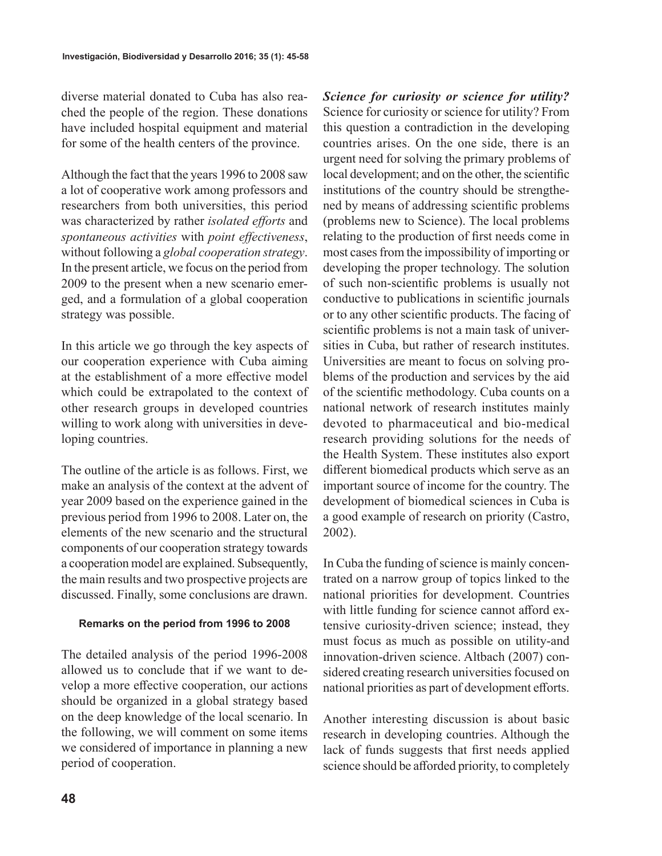diverse material donated to Cuba has also reached the people of the region. These donations have included hospital equipment and material for some of the health centers of the province.

Although the fact that the years 1996 to 2008 saw a lot of cooperative work among professors and researchers from both universities, this period was characterized by rather *isolated efforts* and *spontaneous activities* with *point effectiveness*, without following a *global cooperation strategy*. In the present article, we focus on the period from 2009 to the present when a new scenario emerged, and a formulation of a global cooperation strategy was possible.

In this article we go through the key aspects of our cooperation experience with Cuba aiming at the establishment of a more effective model which could be extrapolated to the context of other research groups in developed countries willing to work along with universities in developing countries.

The outline of the article is as follows. First, we make an analysis of the context at the advent of year 2009 based on the experience gained in the previous period from 1996 to 2008. Later on, the elements of the new scenario and the structural components of our cooperation strategy towards a cooperation model are explained. Subsequently, the main results and two prospective projects are discussed. Finally, some conclusions are drawn.

### **Remarks on the period from 1996 to 2008**

The detailed analysis of the period 1996-2008 allowed us to conclude that if we want to develop a more effective cooperation, our actions should be organized in a global strategy based on the deep knowledge of the local scenario. In the following, we will comment on some items we considered of importance in planning a new period of cooperation.

*Science for curiosity or science for utility?* Science for curiosity or science for utility? From this question a contradiction in the developing countries arises. On the one side, there is an urgent need for solving the primary problems of local development; and on the other, the scientific institutions of the country should be strengthened by means of addressing scientific problems (problems new to Science). The local problems relating to the production of first needs come in most cases from the impossibility of importing or developing the proper technology. The solution of such non-scientific problems is usually not conductive to publications in scientific journals or to any other scientific products. The facing of scientific problems is not a main task of universities in Cuba, but rather of research institutes. Universities are meant to focus on solving problems of the production and services by the aid of the scientific methodology. Cuba counts on a national network of research institutes mainly devoted to pharmaceutical and bio-medical research providing solutions for the needs of the Health System. These institutes also export different biomedical products which serve as an important source of income for the country. The development of biomedical sciences in Cuba is a good example of research on priority (Castro, 2002).

In Cuba the funding of science is mainly concentrated on a narrow group of topics linked to the national priorities for development. Countries with little funding for science cannot afford extensive curiosity-driven science; instead, they must focus as much as possible on utility-and innovation-driven science. Altbach (2007) considered creating research universities focused on national priorities as part of development efforts.

Another interesting discussion is about basic research in developing countries. Although the lack of funds suggests that first needs applied science should be afforded priority, to completely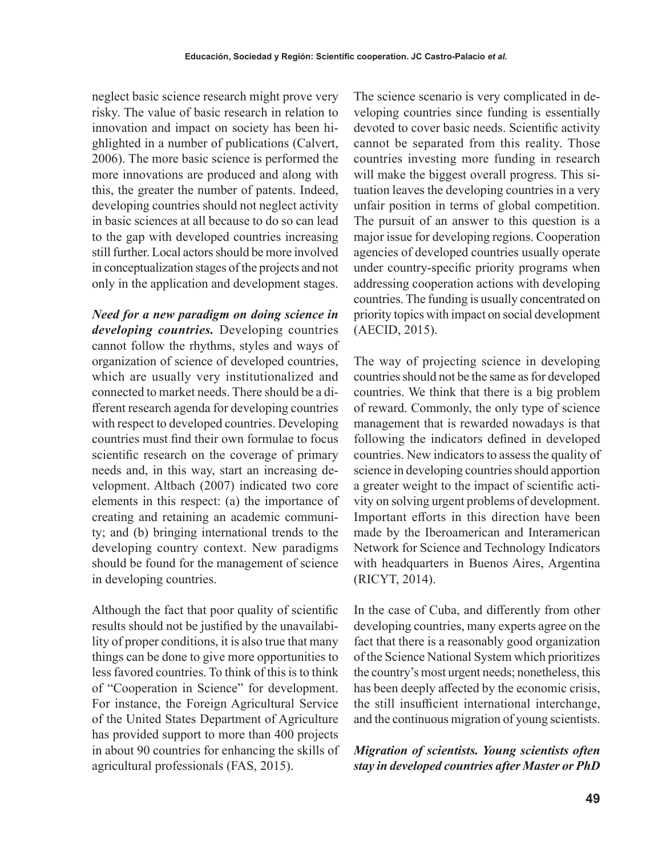neglect basic science research might prove very risky. The value of basic research in relation to innovation and impact on society has been highlighted in a number of publications (Calvert, 2006). The more basic science is performed the more innovations are produced and along with this, the greater the number of patents. Indeed, developing countries should not neglect activity in basic sciences at all because to do so can lead to the gap with developed countries increasing still further. Local actors should be more involved in conceptualization stages of the projects and not only in the application and development stages.

*Need for a new paradigm on doing science in developing countries.* Developing countries cannot follow the rhythms, styles and ways of organization of science of developed countries, which are usually very institutionalized and connected to market needs. There should be a different research agenda for developing countries with respect to developed countries. Developing countries must find their own formulae to focus scientific research on the coverage of primary needs and, in this way, start an increasing development. Altbach (2007) indicated two core elements in this respect: (a) the importance of creating and retaining an academic community; and (b) bringing international trends to the developing country context. New paradigms should be found for the management of science in developing countries.

Although the fact that poor quality of scientific results should not be justified by the unavailability of proper conditions, it is also true that many things can be done to give more opportunities to less favored countries. To think of this is to think of "Cooperation in Science" for development. For instance, the Foreign Agricultural Service of the United States Department of Agriculture has provided support to more than 400 projects in about 90 countries for enhancing the skills of agricultural professionals (FAS, 2015).

The science scenario is very complicated in developing countries since funding is essentially devoted to cover basic needs. Scientific activity cannot be separated from this reality. Those countries investing more funding in research will make the biggest overall progress. This situation leaves the developing countries in a very unfair position in terms of global competition. The pursuit of an answer to this question is a major issue for developing regions. Cooperation agencies of developed countries usually operate under country-specific priority programs when addressing cooperation actions with developing countries. The funding is usually concentrated on priority topics with impact on social development (AECID, 2015).

The way of projecting science in developing countries should not be the same as for developed countries. We think that there is a big problem of reward. Commonly, the only type of science management that is rewarded nowadays is that following the indicators defined in developed countries. New indicators to assess the quality of science in developing countries should apportion a greater weight to the impact of scientific activity on solving urgent problems of development. Important efforts in this direction have been made by the Iberoamerican and Interamerican Network for Science and Technology Indicators with headquarters in Buenos Aires, Argentina (RICYT, 2014).

In the case of Cuba, and differently from other developing countries, many experts agree on the fact that there is a reasonably good organization of the Science National System which prioritizes the country's most urgent needs; nonetheless, this has been deeply affected by the economic crisis, the still insufficient international interchange, and the continuous migration of young scientists.

*Migration of scientists. Young scientists often stay in developed countries after Master or PhD*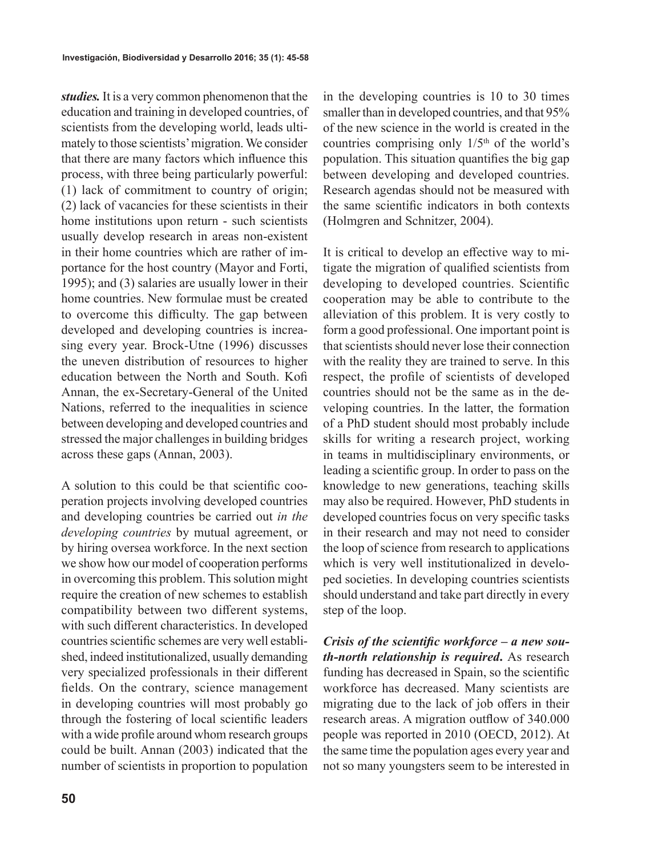*studies.* It is a very common phenomenon that the education and training in developed countries, of scientists from the developing world, leads ultimately to those scientists' migration. We consider that there are many factors which influence this process, with three being particularly powerful: (1) lack of commitment to country of origin; (2) lack of vacancies for these scientists in their home institutions upon return - such scientists usually develop research in areas non-existent in their home countries which are rather of importance for the host country (Mayor and Forti, 1995); and (3) salaries are usually lower in their home countries. New formulae must be created to overcome this difficulty. The gap between developed and developing countries is increasing every year. Brock-Utne (1996) discusses the uneven distribution of resources to higher education between the North and South. Kofi Annan, the ex-Secretary-General of the United Nations, referred to the inequalities in science between developing and developed countries and stressed the major challenges in building bridges across these gaps (Annan, 2003).

A solution to this could be that scientific cooperation projects involving developed countries and developing countries be carried out *in the developing countries* by mutual agreement, or by hiring oversea workforce. In the next section we show how our model of cooperation performs in overcoming this problem. This solution might require the creation of new schemes to establish compatibility between two different systems, with such different characteristics. In developed countries scientific schemes are very well established, indeed institutionalized, usually demanding very specialized professionals in their different fields. On the contrary, science management in developing countries will most probably go through the fostering of local scientific leaders with a wide profile around whom research groups could be built. Annan (2003) indicated that the number of scientists in proportion to population in the developing countries is 10 to 30 times smaller than in developed countries, and that 95% of the new science in the world is created in the countries comprising only  $1/5<sup>th</sup>$  of the world's population. This situation quantifies the big gap between developing and developed countries. Research agendas should not be measured with the same scientific indicators in both contexts (Holmgren and Schnitzer, 2004).

It is critical to develop an effective way to mitigate the migration of qualified scientists from developing to developed countries. Scientific cooperation may be able to contribute to the alleviation of this problem. It is very costly to form a good professional. One important point is that scientists should never lose their connection with the reality they are trained to serve. In this respect, the profile of scientists of developed countries should not be the same as in the developing countries. In the latter, the formation of a PhD student should most probably include skills for writing a research project, working in teams in multidisciplinary environments, or leading a scientific group. In order to pass on the knowledge to new generations, teaching skills may also be required. However, PhD students in developed countries focus on very specific tasks in their research and may not need to consider the loop of science from research to applications which is very well institutionalized in developed societies. In developing countries scientists should understand and take part directly in every step of the loop.

*Crisis of the scientific workforce – a new south-north relationship is required***.** As research funding has decreased in Spain, so the scientific workforce has decreased. Many scientists are migrating due to the lack of job offers in their research areas. A migration outflow of 340.000 people was reported in 2010 (OECD, 2012). At the same time the population ages every year and not so many youngsters seem to be interested in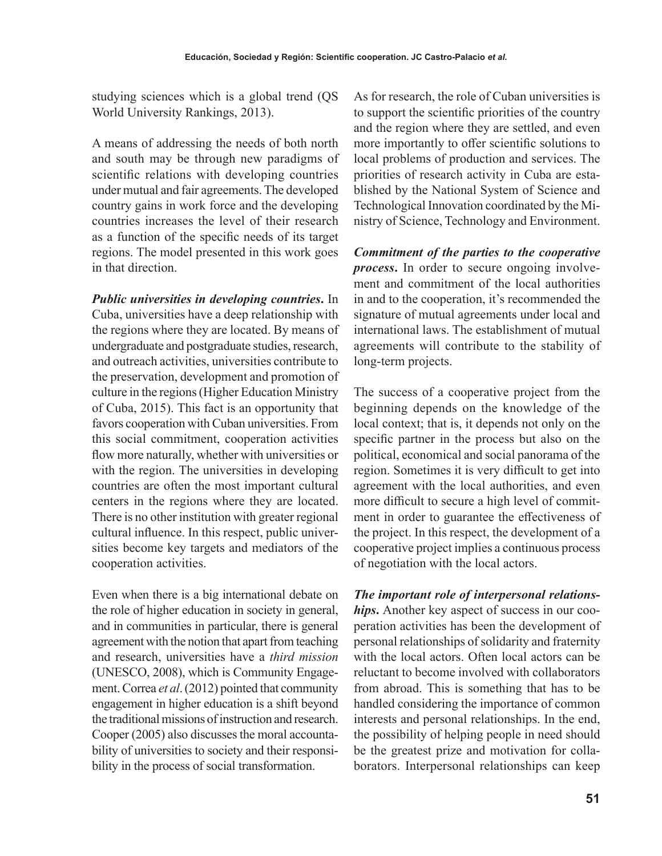studying sciences which is a global trend (QS World University Rankings, 2013).

A means of addressing the needs of both north and south may be through new paradigms of scientific relations with developing countries under mutual and fair agreements. The developed country gains in work force and the developing countries increases the level of their research as a function of the specific needs of its target regions. The model presented in this work goes in that direction.

*Public universities in developing countries***.** In Cuba, universities have a deep relationship with the regions where they are located. By means of undergraduate and postgraduate studies, research, and outreach activities, universities contribute to the preservation, development and promotion of culture in the regions (Higher Education Ministry of Cuba, 2015). This fact is an opportunity that favors cooperation with Cuban universities. From this social commitment, cooperation activities flow more naturally, whether with universities or with the region. The universities in developing countries are often the most important cultural centers in the regions where they are located. There is no other institution with greater regional cultural influence. In this respect, public universities become key targets and mediators of the cooperation activities.

Even when there is a big international debate on the role of higher education in society in general, and in communities in particular, there is general agreement with the notion that apart from teaching and research, universities have a *third mission* (UNESCO, 2008), which is Community Engagement. Correa *et al*. (2012) pointed that community engagement in higher education is a shift beyond the traditional missions of instruction and research. Cooper (2005) also discusses the moral accountability of universities to society and their responsibility in the process of social transformation.

As for research, the role of Cuban universities is to support the scientific priorities of the country and the region where they are settled, and even more importantly to offer scientific solutions to local problems of production and services. The priorities of research activity in Cuba are established by the National System of Science and Technological Innovation coordinated by the Ministry of Science, Technology and Environment.

*Commitment of the parties to the cooperative process***.** In order to secure ongoing involvement and commitment of the local authorities in and to the cooperation, it's recommended the signature of mutual agreements under local and international laws. The establishment of mutual agreements will contribute to the stability of long-term projects.

The success of a cooperative project from the beginning depends on the knowledge of the local context; that is, it depends not only on the specific partner in the process but also on the political, economical and social panorama of the region. Sometimes it is very difficult to get into agreement with the local authorities, and even more difficult to secure a high level of commitment in order to guarantee the effectiveness of the project. In this respect, the development of a cooperative project implies a continuous process of negotiation with the local actors.

*The important role of interpersonal relationships***.** Another key aspect of success in our cooperation activities has been the development of personal relationships of solidarity and fraternity with the local actors. Often local actors can be reluctant to become involved with collaborators from abroad. This is something that has to be handled considering the importance of common interests and personal relationships. In the end, the possibility of helping people in need should be the greatest prize and motivation for collaborators. Interpersonal relationships can keep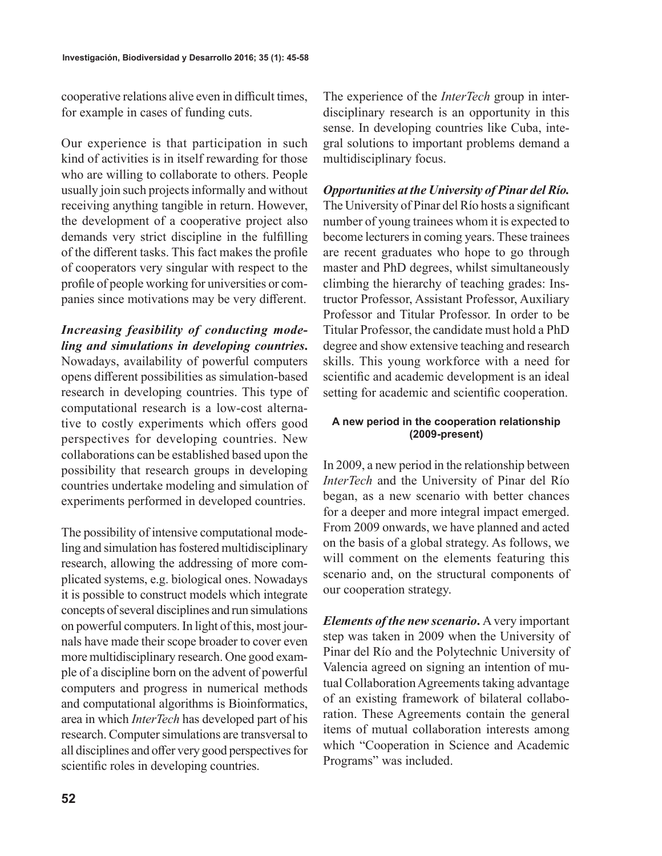cooperative relations alive even in difficult times, for example in cases of funding cuts.

Our experience is that participation in such kind of activities is in itself rewarding for those who are willing to collaborate to others. People usually join such projects informally and without receiving anything tangible in return. However, the development of a cooperative project also demands very strict discipline in the fulfilling of the different tasks. This fact makes the profile of cooperators very singular with respect to the profile of people working for universities or companies since motivations may be very different.

*Increasing feasibility of conducting modeling and simulations in developing countries***.**  Nowadays, availability of powerful computers opens different possibilities as simulation-based research in developing countries. This type of computational research is a low-cost alternative to costly experiments which offers good perspectives for developing countries. New collaborations can be established based upon the possibility that research groups in developing countries undertake modeling and simulation of experiments performed in developed countries.

The possibility of intensive computational modeling and simulation has fostered multidisciplinary research, allowing the addressing of more complicated systems, e.g. biological ones. Nowadays it is possible to construct models which integrate concepts of several disciplines and run simulations on powerful computers. In light of this, most journals have made their scope broader to cover even more multidisciplinary research. One good example of a discipline born on the advent of powerful computers and progress in numerical methods and computational algorithms is Bioinformatics, area in which *InterTech* has developed part of his research. Computer simulations are transversal to all disciplines and offer very good perspectives for scientific roles in developing countries.

The experience of the *InterTech* group in interdisciplinary research is an opportunity in this sense. In developing countries like Cuba, integral solutions to important problems demand a multidisciplinary focus.

*Opportunities at the University of Pinar del Río.* The University of Pinar del Río hosts a significant number of young trainees whom it is expected to become lecturers in coming years. These trainees are recent graduates who hope to go through master and PhD degrees, whilst simultaneously climbing the hierarchy of teaching grades: Instructor Professor, Assistant Professor, Auxiliary Professor and Titular Professor. In order to be Titular Professor, the candidate must hold a PhD degree and show extensive teaching and research skills. This young workforce with a need for scientific and academic development is an ideal setting for academic and scientific cooperation.

# **A new period in the cooperation relationship (2009-present)**

In 2009, a new period in the relationship between *InterTech* and the University of Pinar del Río began, as a new scenario with better chances for a deeper and more integral impact emerged. From 2009 onwards, we have planned and acted on the basis of a global strategy. As follows, we will comment on the elements featuring this scenario and, on the structural components of our cooperation strategy.

*Elements of the new scenario***.** A very important step was taken in 2009 when the University of Pinar del Río and the Polytechnic University of Valencia agreed on signing an intention of mutual Collaboration Agreements taking advantage of an existing framework of bilateral collaboration. These Agreements contain the general items of mutual collaboration interests among which "Cooperation in Science and Academic Programs" was included.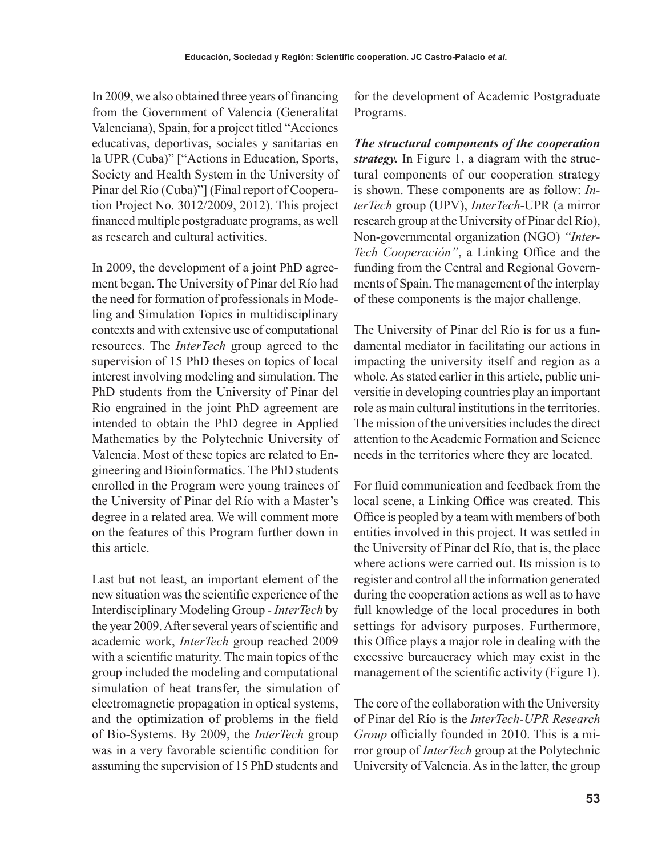In 2009, we also obtained three years of financing from the Government of Valencia (Generalitat Valenciana), Spain, for a project titled "Acciones educativas, deportivas, sociales y sanitarias en la UPR (Cuba)" ["Actions in Education, Sports, Society and Health System in the University of Pinar del Río (Cuba)"] (Final report of Cooperation Project No. 3012/2009, 2012). This project financed multiple postgraduate programs, as well as research and cultural activities.

In 2009, the development of a joint PhD agreement began. The University of Pinar del Río had the need for formation of professionals in Modeling and Simulation Topics in multidisciplinary contexts and with extensive use of computational resources. The *InterTech* group agreed to the supervision of 15 PhD theses on topics of local interest involving modeling and simulation. The PhD students from the University of Pinar del Río engrained in the joint PhD agreement are intended to obtain the PhD degree in Applied Mathematics by the Polytechnic University of Valencia. Most of these topics are related to Engineering and Bioinformatics. The PhD students enrolled in the Program were young trainees of the University of Pinar del Río with a Master's degree in a related area. We will comment more on the features of this Program further down in this article.

Last but not least, an important element of the new situation was the scientific experience of the Interdisciplinary Modeling Group - *InterTech* by the year 2009. After several years of scientific and academic work, *InterTech* group reached 2009 with a scientific maturity. The main topics of the group included the modeling and computational simulation of heat transfer, the simulation of electromagnetic propagation in optical systems, and the optimization of problems in the field of Bio-Systems. By 2009, the *InterTech* group was in a very favorable scientific condition for assuming the supervision of 15 PhD students and

for the development of Academic Postgraduate Programs.

*The structural components of the cooperation strategy.* In Figure 1, a diagram with the structural components of our cooperation strategy is shown. These components are as follow: *InterTech* group (UPV), *InterTech*-UPR (a mirror research group at the University of Pinar del Río), Non-governmental organization (NGO) *"Inter-Tech Cooperación"*, a Linking Office and the funding from the Central and Regional Governments of Spain. The management of the interplay of these components is the major challenge.

The University of Pinar del Río is for us a fundamental mediator in facilitating our actions in impacting the university itself and region as a whole. As stated earlier in this article, public universitie in developing countries play an important role as main cultural institutions in the territories. The mission of the universities includes the direct attention to the Academic Formation and Science needs in the territories where they are located.

For fluid communication and feedback from the local scene, a Linking Office was created. This Office is peopled by a team with members of both entities involved in this project. It was settled in the University of Pinar del Río, that is, the place where actions were carried out. Its mission is to register and control all the information generated during the cooperation actions as well as to have full knowledge of the local procedures in both settings for advisory purposes. Furthermore, this Office plays a major role in dealing with the excessive bureaucracy which may exist in the management of the scientific activity (Figure 1).

The core of the collaboration with the University of Pinar del Río is the *InterTech-UPR Research Group* officially founded in 2010. This is a mirror group of *InterTech* group at the Polytechnic University of Valencia. As in the latter, the group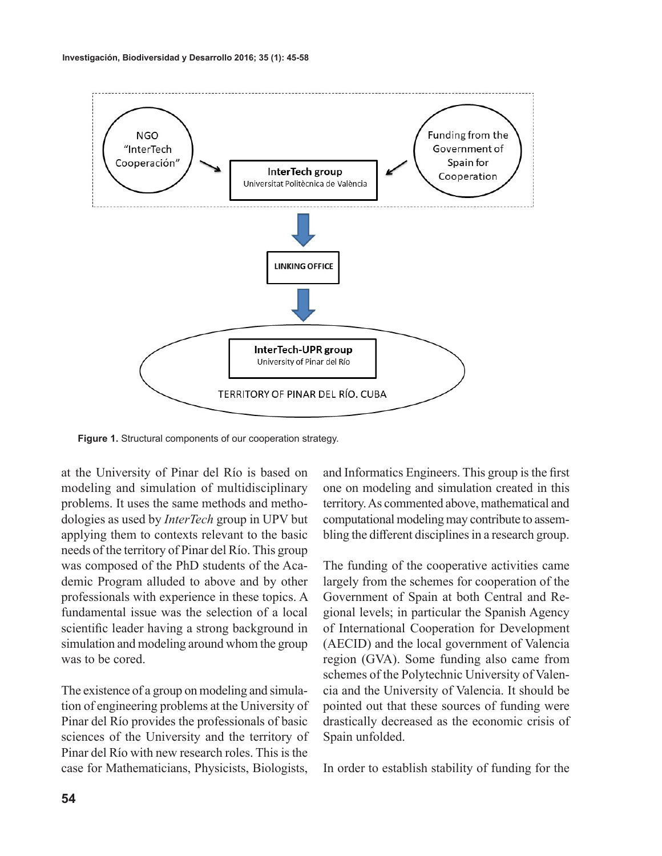

**Figure 1.** Structural components of our cooperation strategy.

at the University of Pinar del Río is based on modeling and simulation of multidisciplinary problems. It uses the same methods and methodologies as used by *InterTech* group in UPV but applying them to contexts relevant to the basic needs of the territory of Pinar del Río. This group was composed of the PhD students of the Academic Program alluded to above and by other professionals with experience in these topics. A fundamental issue was the selection of a local scientific leader having a strong background in simulation and modeling around whom the group was to be cored.

The existence of a group on modeling and simulation of engineering problems at the University of Pinar del Río provides the professionals of basic sciences of the University and the territory of Pinar del Río with new research roles. This is the case for Mathematicians, Physicists, Biologists,

and Informatics Engineers. This group is the first one on modeling and simulation created in this territory. As commented above, mathematical and computational modeling may contribute to assembling the different disciplines in a research group.

The funding of the cooperative activities came largely from the schemes for cooperation of the Government of Spain at both Central and Regional levels; in particular the Spanish Agency of International Cooperation for Development (AECID) and the local government of Valencia region (GVA). Some funding also came from schemes of the Polytechnic University of Valencia and the University of Valencia. It should be pointed out that these sources of funding were drastically decreased as the economic crisis of Spain unfolded.

In order to establish stability of funding for the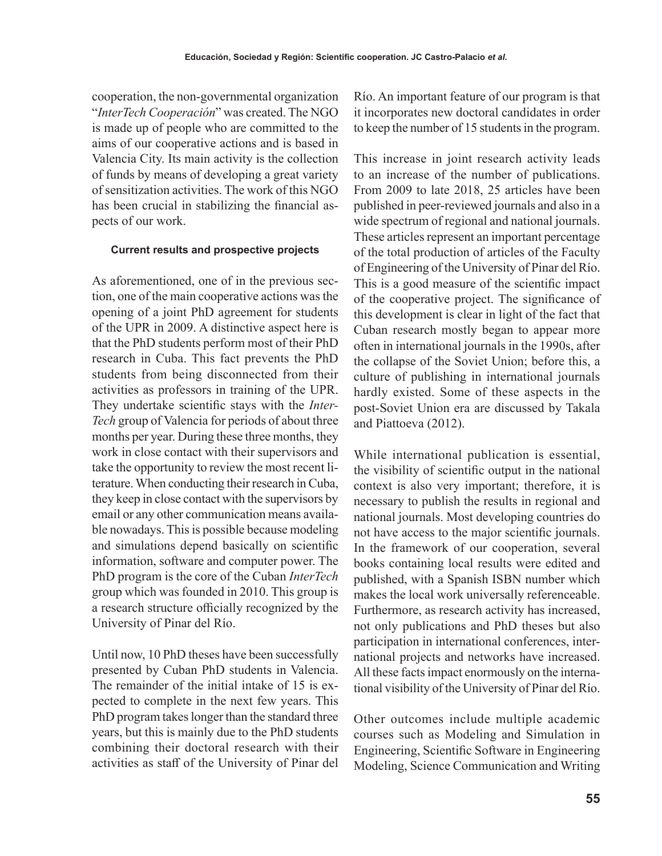cooperation, the non-governmental organization "*InterTech Cooperación*" was created. The NGO is made up of people who are committed to the aims of our cooperative actions and is based in Valencia City. Its main activity is the collection of funds by means of developing a great variety of sensitization activities. The work of this NGO has been crucial in stabilizing the financial aspects of our work.

## **Current results and prospective projects**

As aforementioned, one of in the previous section, one of the main cooperative actions was the opening of a joint PhD agreement for students of the UPR in 2009. A distinctive aspect here is that the PhD students perform most of their PhD research in Cuba. This fact prevents the PhD students from being disconnected from their activities as professors in training of the UPR. They undertake scientific stays with the *Inter-Tech* group of Valencia for periods of about three months per year. During these three months, they work in close contact with their supervisors and take the opportunity to review the most recent literature. When conducting their research in Cuba, they keep in close contact with the supervisors by email or any other communication means available nowadays. This is possible because modeling and simulations depend basically on scientific information, software and computer power. The PhD program is the core of the Cuban *InterTech* group which was founded in 2010. This group is a research structure officially recognized by the University of Pinar del Río.

Until now, 10 PhD theses have been successfully presented by Cuban PhD students in Valencia. The remainder of the initial intake of 15 is expected to complete in the next few years. This PhD program takes longer than the standard three years, but this is mainly due to the PhD students combining their doctoral research with their activities as staff of the University of Pinar del Río. An important feature of our program is that it incorporates new doctoral candidates in order to keep the number of 15 students in the program.

This increase in joint research activity leads to an increase of the number of publications. From 2009 to late 2018, 25 articles have been published in peer-reviewed journals and also in a wide spectrum of regional and national journals. These articles represent an important percentage of the total production of articles of the Faculty of Engineering of the University of Pinar del Río. This is a good measure of the scientific impact of the cooperative project. The significance of this development is clear in light of the fact that Cuban research mostly began to appear more often in international journals in the 1990s, after the collapse of the Soviet Union; before this, a culture of publishing in international journals hardly existed. Some of these aspects in the post-Soviet Union era are discussed by Takala and Piattoeva (2012).

While international publication is essential, the visibility of scientific output in the national context is also very important; therefore, it is necessary to publish the results in regional and national journals. Most developing countries do not have access to the major scientific journals. In the framework of our cooperation, several books containing local results were edited and published, with a Spanish ISBN number which makes the local work universally referenceable. Furthermore, as research activity has increased, not only publications and PhD theses but also participation in international conferences, international projects and networks have increased. All these facts impact enormously on the international visibility of the University of Pinar del Río.

Other outcomes include multiple academic courses such as Modeling and Simulation in Engineering, Scientific Software in Engineering Modeling, Science Communication and Writing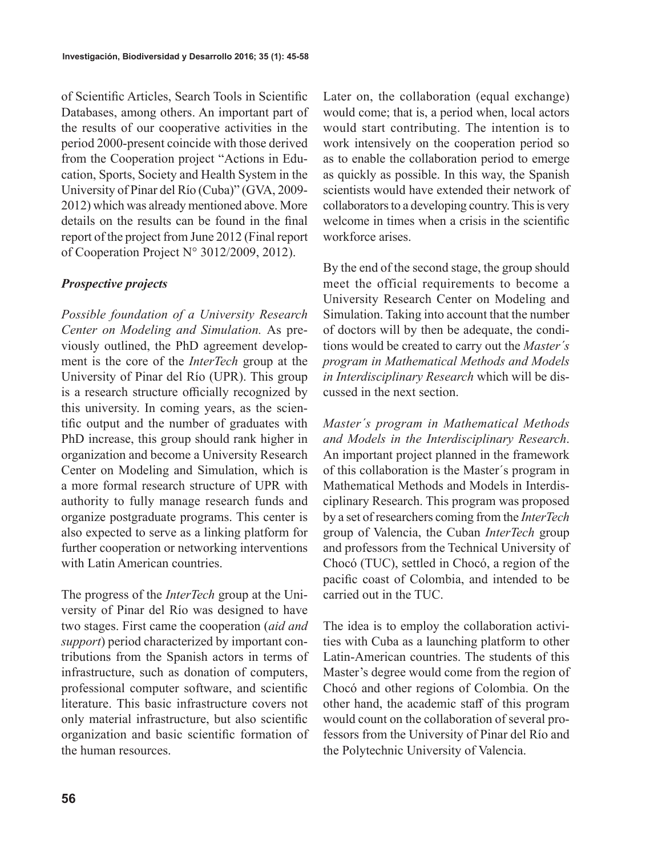of Scientific Articles, Search Tools in Scientific Databases, among others. An important part of the results of our cooperative activities in the period 2000-present coincide with those derived from the Cooperation project "Actions in Education, Sports, Society and Health System in the University of Pinar del Río (Cuba)" (GVA, 2009- 2012) which was already mentioned above. More details on the results can be found in the final report of the project from June 2012 (Final report of Cooperation Project N° 3012/2009, 2012).

# *Prospective projects*

*Possible foundation of a University Research Center on Modeling and Simulation.* As previously outlined, the PhD agreement development is the core of the *InterTech* group at the University of Pinar del Río (UPR). This group is a research structure officially recognized by this university. In coming years, as the scientific output and the number of graduates with PhD increase, this group should rank higher in organization and become a University Research Center on Modeling and Simulation, which is a more formal research structure of UPR with authority to fully manage research funds and organize postgraduate programs. This center is also expected to serve as a linking platform for further cooperation or networking interventions with Latin American countries.

The progress of the *InterTech* group at the University of Pinar del Río was designed to have two stages. First came the cooperation (*aid and support*) period characterized by important contributions from the Spanish actors in terms of infrastructure, such as donation of computers, professional computer software, and scientific literature. This basic infrastructure covers not only material infrastructure, but also scientific organization and basic scientific formation of the human resources.

Later on, the collaboration (equal exchange) would come; that is, a period when, local actors would start contributing. The intention is to work intensively on the cooperation period so as to enable the collaboration period to emerge as quickly as possible. In this way, the Spanish scientists would have extended their network of collaborators to a developing country. This is very welcome in times when a crisis in the scientific workforce arises.

By the end of the second stage, the group should meet the official requirements to become a University Research Center on Modeling and Simulation. Taking into account that the number of doctors will by then be adequate, the conditions would be created to carry out the *Master´s program in Mathematical Methods and Models in Interdisciplinary Research* which will be discussed in the next section.

*Master´s program in Mathematical Methods and Models in the Interdisciplinary Research*. An important project planned in the framework of this collaboration is the Master´s program in Mathematical Methods and Models in Interdisciplinary Research. This program was proposed by a set of researchers coming from the *InterTech* group of Valencia, the Cuban *InterTech* group and professors from the Technical University of Chocó (TUC), settled in Chocó, a region of the pacific coast of Colombia, and intended to be carried out in the TUC.

The idea is to employ the collaboration activities with Cuba as a launching platform to other Latin-American countries. The students of this Master's degree would come from the region of Chocó and other regions of Colombia. On the other hand, the academic staff of this program would count on the collaboration of several professors from the University of Pinar del Río and the Polytechnic University of Valencia.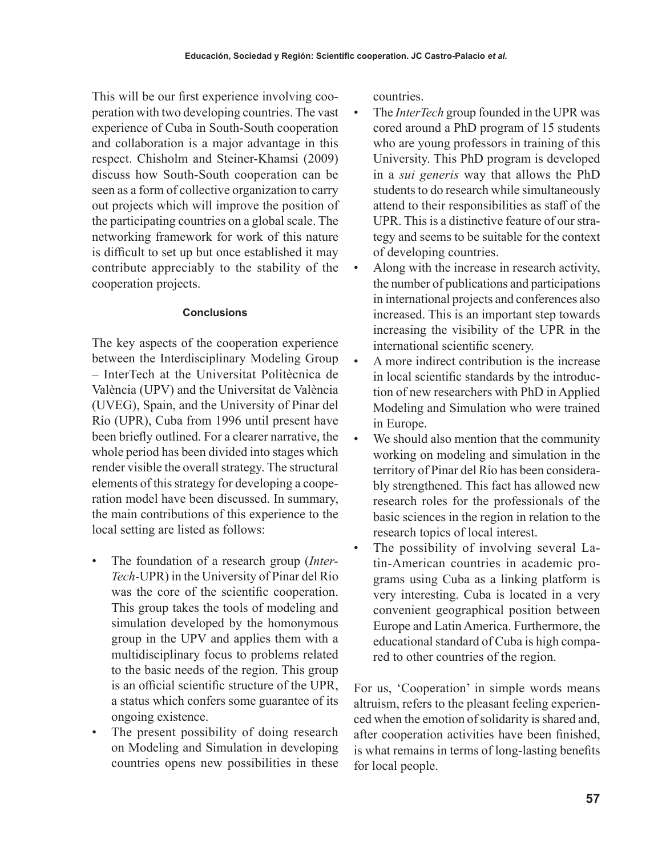This will be our first experience involving cooperation with two developing countries. The vast experience of Cuba in South-South cooperation and collaboration is a major advantage in this respect. Chisholm and Steiner-Khamsi (2009) discuss how South-South cooperation can be seen as a form of collective organization to carry out projects which will improve the position of the participating countries on a global scale. The networking framework for work of this nature is difficult to set up but once established it may contribute appreciably to the stability of the cooperation projects.

# **Conclusions**

The key aspects of the cooperation experience between the Interdisciplinary Modeling Group – InterTech at the Universitat Politècnica de València (UPV) and the Universitat de València (UVEG), Spain, and the University of Pinar del Río (UPR), Cuba from 1996 until present have been briefly outlined. For a clearer narrative, the whole period has been divided into stages which render visible the overall strategy. The structural elements of this strategy for developing a cooperation model have been discussed. In summary, the main contributions of this experience to the local setting are listed as follows:

- The foundation of a research group (*Inter-Tech*-UPR) in the University of Pinar del Rio was the core of the scientific cooperation. This group takes the tools of modeling and simulation developed by the homonymous group in the UPV and applies them with a multidisciplinary focus to problems related to the basic needs of the region. This group is an official scientific structure of the UPR, a status which confers some guarantee of its ongoing existence.
- The present possibility of doing research on Modeling and Simulation in developing countries opens new possibilities in these

countries.

- The *InterTech* group founded in the UPR was cored around a PhD program of 15 students who are young professors in training of this University. This PhD program is developed in a *sui generis* way that allows the PhD students to do research while simultaneously attend to their responsibilities as staff of the UPR. This is a distinctive feature of our strategy and seems to be suitable for the context of developing countries.
- Along with the increase in research activity, the number of publications and participations in international projects and conferences also increased. This is an important step towards increasing the visibility of the UPR in the international scientific scenery.
- A more indirect contribution is the increase in local scientific standards by the introduction of new researchers with PhD in Applied Modeling and Simulation who were trained in Europe.
- We should also mention that the community working on modeling and simulation in the territory of Pinar del Río has been considerably strengthened. This fact has allowed new research roles for the professionals of the basic sciences in the region in relation to the research topics of local interest.
- The possibility of involving several Latin-American countries in academic programs using Cuba as a linking platform is very interesting. Cuba is located in a very convenient geographical position between Europe and Latin America. Furthermore, the educational standard of Cuba is high compared to other countries of the region.

For us, 'Cooperation' in simple words means altruism, refers to the pleasant feeling experienced when the emotion of solidarity is shared and, after cooperation activities have been finished, is what remains in terms of long-lasting benefits for local people.